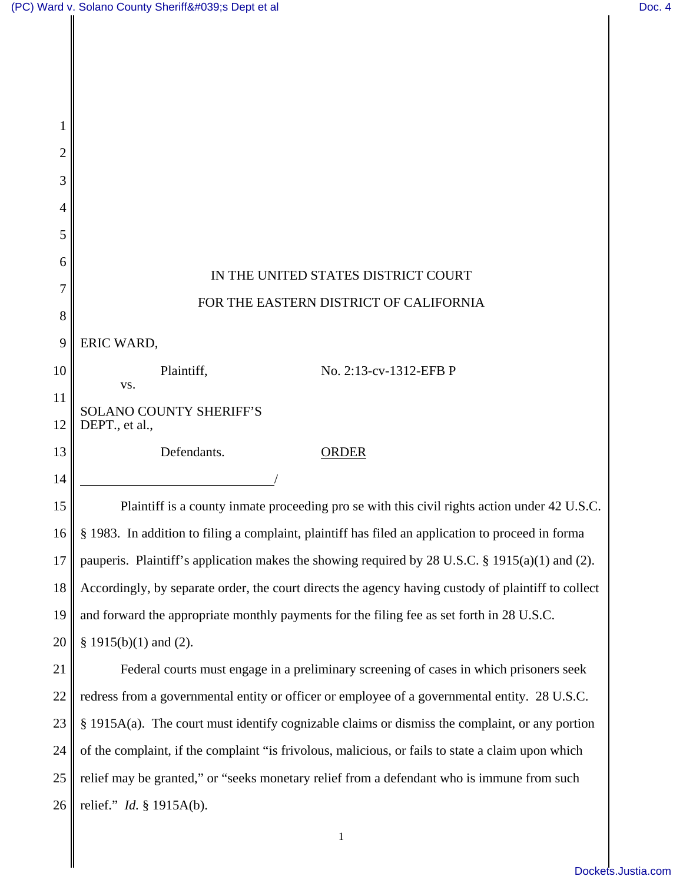$\mathsf I$ 

| 2      |                                                                                                     |
|--------|-----------------------------------------------------------------------------------------------------|
| 3      |                                                                                                     |
| 4      |                                                                                                     |
| 5      |                                                                                                     |
| 6      | IN THE UNITED STATES DISTRICT COURT                                                                 |
| 7<br>8 | FOR THE EASTERN DISTRICT OF CALIFORNIA                                                              |
| 9      | ERIC WARD,                                                                                          |
| 10     | No. 2:13-cv-1312-EFB P<br>Plaintiff,                                                                |
| 11     | VS.<br><b>SOLANO COUNTY SHERIFF'S</b>                                                               |
| 12     | DEPT., et al.,                                                                                      |
| 13     | Defendants.<br><b>ORDER</b>                                                                         |
| 14     |                                                                                                     |
| 15     | Plaintiff is a county inmate proceeding pro se with this civil rights action under 42 U.S.C.        |
| 16     | § 1983. In addition to filing a complaint, plaintiff has filed an application to proceed in forma   |
| 17     | pauperis. Plaintiff's application makes the showing required by 28 U.S.C. § 1915(a)(1) and (2).     |
| 18     | Accordingly, by separate order, the court directs the agency having custody of plaintiff to collect |
| 19     | and forward the appropriate monthly payments for the filing fee as set forth in 28 U.S.C.           |
| 20     | § 1915(b)(1) and (2).                                                                               |
| 21     | Federal courts must engage in a preliminary screening of cases in which prisoners seek              |
| 22     | redress from a governmental entity or officer or employee of a governmental entity. 28 U.S.C.       |
| 23     | § 1915A(a). The court must identify cognizable claims or dismiss the complaint, or any portion      |
| 24     | of the complaint, if the complaint "is frivolous, malicious, or fails to state a claim upon which   |
| 25     | relief may be granted," or "seeks monetary relief from a defendant who is immune from such          |
| 26     | relief." $Id. \S$ 1915A(b).                                                                         |
|        | 1                                                                                                   |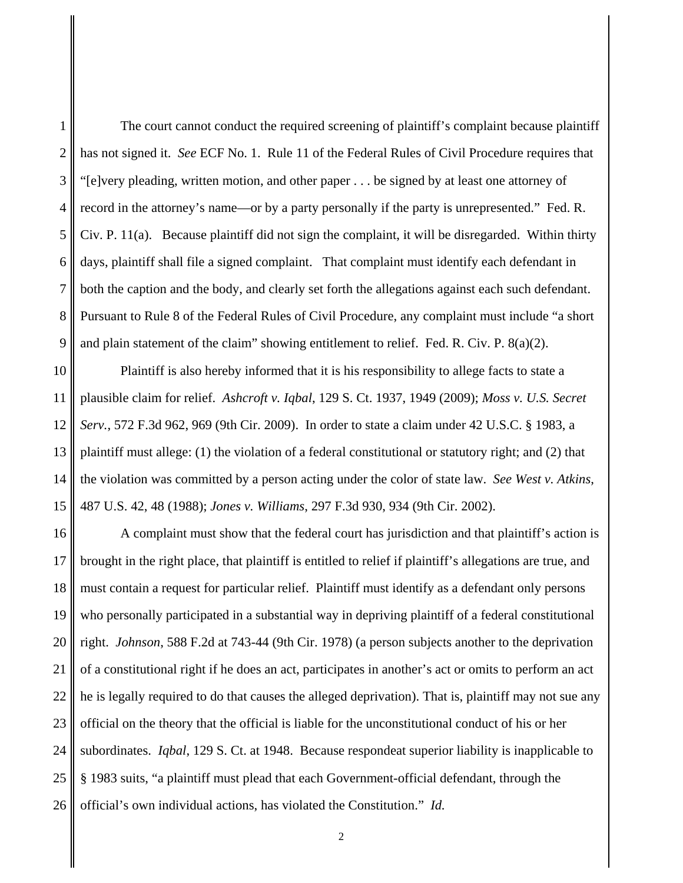1 2 3 4 5 The court cannot conduct the required screening of plaintiff's complaint because plaintiff has not signed it. *See* ECF No. 1. Rule 11 of the Federal Rules of Civil Procedure requires that "[e]very pleading, written motion, and other paper . . . be signed by at least one attorney of record in the attorney's name—or by a party personally if the party is unrepresented." Fed. R. Civ. P. 11(a). Because plaintiff did not sign the complaint, it will be disregarded. Within thirty days, plaintiff shall file a signed complaint. That complaint must identify each defendant in both the caption and the body, and clearly set forth the allegations against each such defendant. Pursuant to Rule 8 of the Federal Rules of Civil Procedure, any complaint must include "a short and plain statement of the claim" showing entitlement to relief. Fed. R. Civ. P. 8(a)(2).

Plaintiff is also hereby informed that it is his responsibility to allege facts to state a plausible claim for relief. *Ashcroft v. Iqbal*, 129 S. Ct. 1937, 1949 (2009); *Moss v. U.S. Secret Serv.*, 572 F.3d 962, 969 (9th Cir. 2009). In order to state a claim under 42 U.S.C. § 1983, a plaintiff must allege: (1) the violation of a federal constitutional or statutory right; and (2) that the violation was committed by a person acting under the color of state law. *See West v. Atkins*, 487 U.S. 42, 48 (1988); *Jones v. Williams*, 297 F.3d 930, 934 (9th Cir. 2002).

16 17 18 19 20 21 22 23 24 25 26 A complaint must show that the federal court has jurisdiction and that plaintiff's action is brought in the right place, that plaintiff is entitled to relief if plaintiff's allegations are true, and must contain a request for particular relief. Plaintiff must identify as a defendant only persons who personally participated in a substantial way in depriving plaintiff of a federal constitutional right. *Johnson*, 588 F.2d at 743-44 (9th Cir. 1978) (a person subjects another to the deprivation of a constitutional right if he does an act, participates in another's act or omits to perform an act he is legally required to do that causes the alleged deprivation). That is, plaintiff may not sue any official on the theory that the official is liable for the unconstitutional conduct of his or her subordinates. *Iqbal*, 129 S. Ct. at 1948. Because respondeat superior liability is inapplicable to § 1983 suits, "a plaintiff must plead that each Government-official defendant, through the official's own individual actions, has violated the Constitution." *Id.*